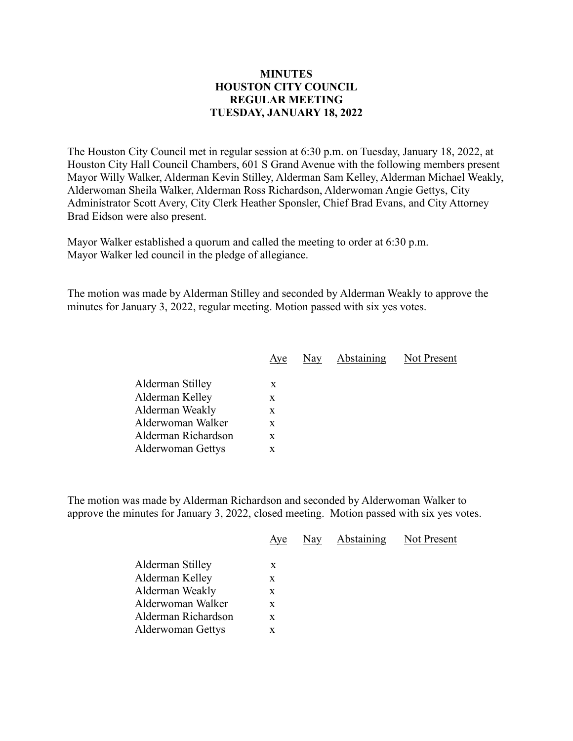## **MINUTES HOUSTON CITY COUNCIL REGULAR MEETING TUESDAY, JANUARY 18, 2022**

The Houston City Council met in regular session at 6:30 p.m. on Tuesday, January 18, 2022, at Houston City Hall Council Chambers, 601 S Grand Avenue with the following members present Mayor Willy Walker, Alderman Kevin Stilley, Alderman Sam Kelley, Alderman Michael Weakly, Alderwoman Sheila Walker, Alderman Ross Richardson, Alderwoman Angie Gettys, City Administrator Scott Avery, City Clerk Heather Sponsler, Chief Brad Evans, and City Attorney Brad Eidson were also present.

Mayor Walker established a quorum and called the meeting to order at 6:30 p.m. Mayor Walker led council in the pledge of allegiance.

The motion was made by Alderman Stilley and seconded by Alderman Weakly to approve the minutes for January 3, 2022, regular meeting. Motion passed with six yes votes.

| Aye | Nay | Abstaining | Not Present |
|-----|-----|------------|-------------|
|     |     |            |             |
| X   |     |            |             |
| X   |     |            |             |
| X   |     |            |             |
| X   |     |            |             |
| X   |     |            |             |
| x   |     |            |             |
|     |     |            |             |

The motion was made by Alderman Richardson and seconded by Alderwoman Walker to approve the minutes for January 3, 2022, closed meeting. Motion passed with six yes votes.

|                     | Aye | Nay | <b>Abstaining</b> | Not Present |
|---------------------|-----|-----|-------------------|-------------|
| Alderman Stilley    | X   |     |                   |             |
| Alderman Kelley     | X   |     |                   |             |
| Alderman Weakly     | X   |     |                   |             |
| Alderwoman Walker   | X   |     |                   |             |
| Alderman Richardson | X   |     |                   |             |
| Alderwoman Gettys   | X   |     |                   |             |
|                     |     |     |                   |             |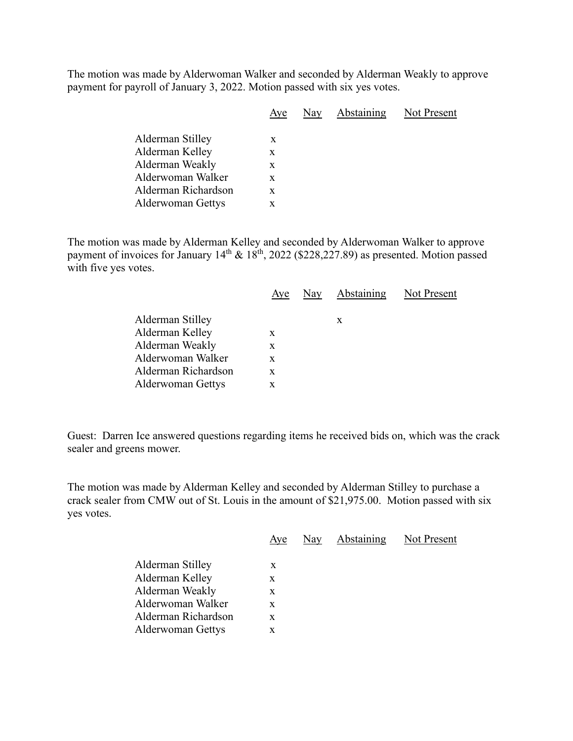The motion was made by Alderwoman Walker and seconded by Alderman Weakly to approve payment for payroll of January 3, 2022. Motion passed with six yes votes.

|                     | Aye | Nay | Abstaining | Not Present |
|---------------------|-----|-----|------------|-------------|
| Alderman Stilley    | X   |     |            |             |
| Alderman Kelley     | X   |     |            |             |
| Alderman Weakly     | X   |     |            |             |
| Alderwoman Walker   | X   |     |            |             |
| Alderman Richardson | X   |     |            |             |
| Alderwoman Gettys   | X   |     |            |             |
|                     |     |     |            |             |

The motion was made by Alderman Kelley and seconded by Alderwoman Walker to approve payment of invoices for January  $14<sup>th</sup>$  &  $18<sup>th</sup>$ , 2022 (\$228,227.89) as presented. Motion passed with five yes votes.

|                          | Aye | Nay | Abstaining | Not Present |
|--------------------------|-----|-----|------------|-------------|
| Alderman Stilley         |     |     | X          |             |
| Alderman Kelley          | X   |     |            |             |
| Alderman Weakly          | X   |     |            |             |
| Alderwoman Walker        | X   |     |            |             |
| Alderman Richardson      | X   |     |            |             |
| <b>Alderwoman Gettys</b> | X   |     |            |             |

Guest: Darren Ice answered questions regarding items he received bids on, which was the crack sealer and greens mower.

The motion was made by Alderman Kelley and seconded by Alderman Stilley to purchase a crack sealer from CMW out of St. Louis in the amount of \$21,975.00. Motion passed with six yes votes.

|                          | Aye | Nay Abstaining Not Present |  |
|--------------------------|-----|----------------------------|--|
| Alderman Stilley         | X   |                            |  |
| Alderman Kelley          | X   |                            |  |
| Alderman Weakly          | X   |                            |  |
| Alderwoman Walker        | X   |                            |  |
| Alderman Richardson      | X   |                            |  |
| <b>Alderwoman Gettys</b> | X   |                            |  |
|                          |     |                            |  |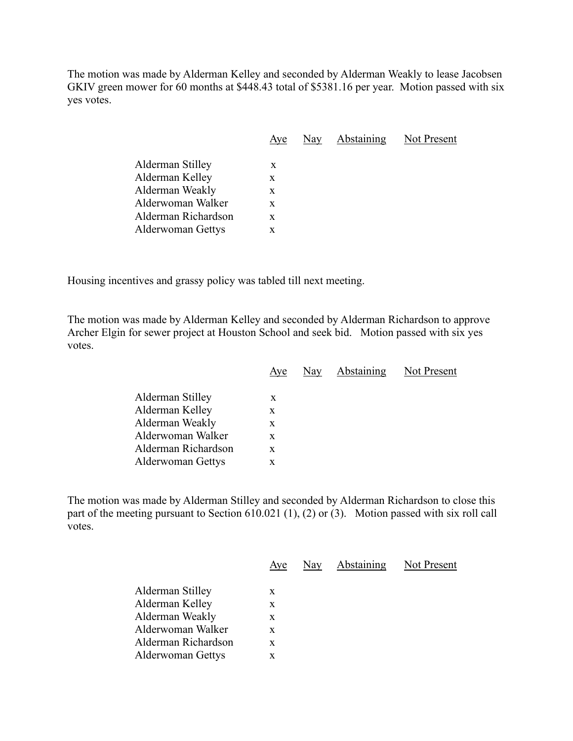The motion was made by Alderman Kelley and seconded by Alderman Weakly to lease Jacobsen GKIV green mower for 60 months at \$448.43 total of \$5381.16 per year. Motion passed with six yes votes.

|                          | Aye | Nay | <b>Abstaining</b> Not Present |  |
|--------------------------|-----|-----|-------------------------------|--|
| Alderman Stilley         | X   |     |                               |  |
| Alderman Kelley          | X   |     |                               |  |
| Alderman Weakly          | X   |     |                               |  |
| Alderwoman Walker        | X   |     |                               |  |
| Alderman Richardson      | X   |     |                               |  |
| <b>Alderwoman Gettys</b> | X   |     |                               |  |
|                          |     |     |                               |  |

Housing incentives and grassy policy was tabled till next meeting.

The motion was made by Alderman Kelley and seconded by Alderman Richardson to approve Archer Elgin for sewer project at Houston School and seek bid. Motion passed with six yes votes.

|                     | Aye | Nay | Abstaining | Not Present |
|---------------------|-----|-----|------------|-------------|
| Alderman Stilley    | X   |     |            |             |
| Alderman Kelley     | X   |     |            |             |
| Alderman Weakly     | X   |     |            |             |
| Alderwoman Walker   | X   |     |            |             |
| Alderman Richardson | X   |     |            |             |
| Alderwoman Gettys   | X   |     |            |             |
|                     |     |     |            |             |

The motion was made by Alderman Stilley and seconded by Alderman Richardson to close this part of the meeting pursuant to Section 610.021 (1), (2) or (3). Motion passed with six roll call votes.

|                     | Aye | Nay | Abstaining | Not Present |
|---------------------|-----|-----|------------|-------------|
| Alderman Stilley    | X   |     |            |             |
| Alderman Kelley     | X   |     |            |             |
| Alderman Weakly     | X   |     |            |             |
| Alderwoman Walker   | X   |     |            |             |
| Alderman Richardson | X   |     |            |             |
| Alderwoman Gettys   | X   |     |            |             |